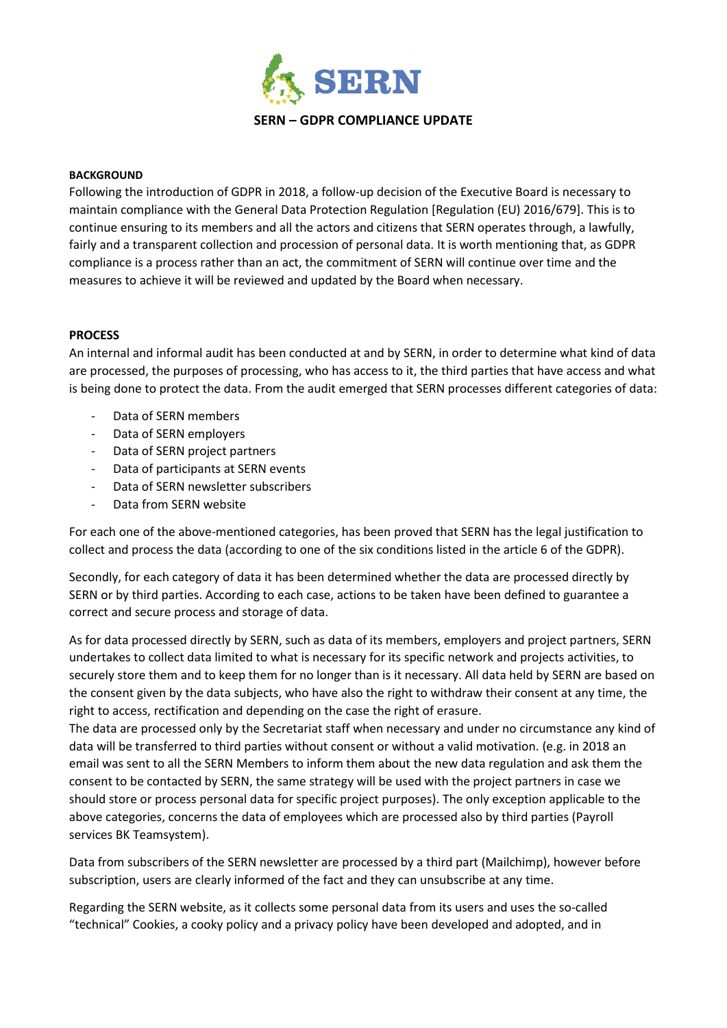

## **BACKGROUND**

Following the introduction of GDPR in 2018, a follow-up decision of the Executive Board is necessary to maintain compliance with the General Data Protection Regulation [Regulation (EU) 2016/679]. This is to continue ensuring to its members and all the actors and citizens that SERN operates through, a lawfully, fairly and a transparent collection and procession of personal data. It is worth mentioning that, as GDPR compliance is a process rather than an act, the commitment of SERN will continue over time and the measures to achieve it will be reviewed and updated by the Board when necessary.

## **PROCESS**

An internal and informal audit has been conducted at and by SERN, in order to determine what kind of data are processed, the purposes of processing, who has access to it, the third parties that have access and what is being done to protect the data. From the audit emerged that SERN processes different categories of data:

- Data of SERN members
- Data of SERN employers
- Data of SERN project partners
- Data of participants at SERN events
- Data of SERN newsletter subscribers
- Data from SERN website

For each one of the above-mentioned categories, has been proved that SERN has the legal justification to collect and process the data (according to one of the six conditions listed in the article 6 of the GDPR).

Secondly, for each category of data it has been determined whether the data are processed directly by SERN or by third parties. According to each case, actions to be taken have been defined to guarantee a correct and secure process and storage of data.

As for data processed directly by SERN, such as data of its members, employers and project partners, SERN undertakes to collect data limited to what is necessary for its specific network and projects activities, to securely store them and to keep them for no longer than is it necessary. All data held by SERN are based on the consent given by the data subjects, who have also the right to withdraw their consent at any time, the right to access, rectification and depending on the case the right of erasure.

The data are processed only by the Secretariat staff when necessary and under no circumstance any kind of data will be transferred to third parties without consent or without a valid motivation. (e.g. in 2018 an email was sent to all the SERN Members to inform them about the new data regulation and ask them the consent to be contacted by SERN, the same strategy will be used with the project partners in case we should store or process personal data for specific project purposes). The only exception applicable to the above categories, concerns the data of employees which are processed also by third parties (Payroll services BK Teamsystem).

Data from subscribers of the SERN newsletter are processed by a third part (Mailchimp), however before subscription, users are clearly informed of the fact and they can unsubscribe at any time.

Regarding the SERN website, as it collects some personal data from its users and uses the so-called "technical" Cookies, a cooky policy and a privacy policy have been developed and adopted, and in